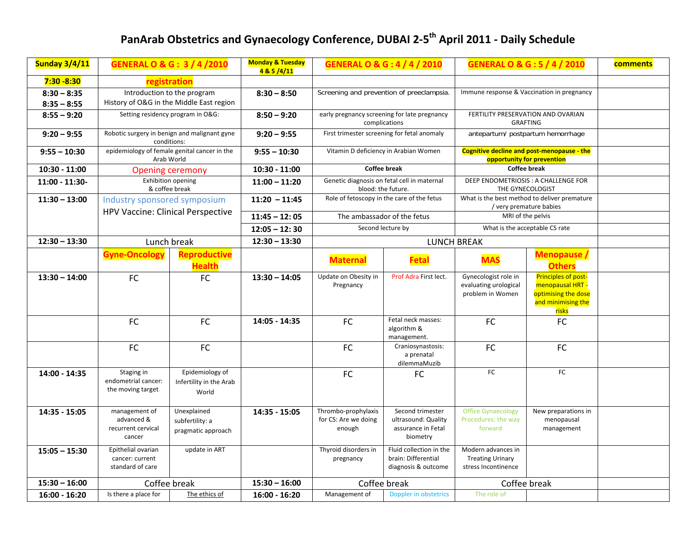## **PanArab Obstetrics and Gynaecology Conference, DUBAI <sup>2</sup>‐5th April <sup>2011</sup> ‐ Daily Schedule**

| <b>Sunday 3/4/11</b>           | <b>GENERAL O &amp; G: 3/4/2010</b>                                      |                                                      | <b>Monday &amp; Tuesday</b><br>4 & 5 /4/11 | <b>GENERAL O &amp; G: 4 / 4 / 2010</b>                            |                                                                           | <b>GENERAL O &amp; G: 5 / 4 / 2010</b>                                   |                                                                                               | comments |
|--------------------------------|-------------------------------------------------------------------------|------------------------------------------------------|--------------------------------------------|-------------------------------------------------------------------|---------------------------------------------------------------------------|--------------------------------------------------------------------------|-----------------------------------------------------------------------------------------------|----------|
| $7:30 - 8:30$                  | registration                                                            |                                                      |                                            |                                                                   |                                                                           |                                                                          |                                                                                               |          |
| $8:30 - 8:35$<br>$8:35 - 8:55$ | Introduction to the program<br>History of O&G in the Middle East region |                                                      | $8:30 - 8:50$                              | Screening and prevention of preeclampsia.                         |                                                                           | Immune response & Vaccination in pregnancy                               |                                                                                               |          |
| $8:55 - 9:20$                  | Setting residency program in O&G:                                       |                                                      | $8:50 - 9:20$                              | early pregnancy screening for late pregnancy<br>complications     |                                                                           | FERTILITY PRESERVATION AND OVARIAN<br><b>GRAFTING</b>                    |                                                                                               |          |
| $9:20 - 9:55$                  | Robotic surgery in benign and malignant gyne<br>conditions:             |                                                      | $9:20 - 9:55$                              | First trimester screening for fetal anomaly                       |                                                                           | antepartum/ postpartum hemorrhage                                        |                                                                                               |          |
| $9:55 - 10:30$                 | epidemiology of female genital cancer in the<br>Arab World              |                                                      | $9:55 - 10:30$                             | Vitamin D deficiency in Arabian Women                             |                                                                           | Cognitive decline and post-menopause - the<br>opportunity for prevention |                                                                                               |          |
| $10:30 - 11:00$                | <b>Opening ceremony</b>                                                 |                                                      | $10:30 - 11:00$                            | <b>Coffee break</b>                                               |                                                                           | <b>Coffee break</b>                                                      |                                                                                               |          |
| 11:00 - 11:30-                 | <b>Exhibition opening</b><br>& coffee break                             |                                                      | $11:00 - 11:20$                            | Genetic diagnosis on fetal cell in maternal<br>blood: the future. |                                                                           | DEEP ENDOMETRIOSIS : A CHALLENGE FOR<br>THE GYNECOLOGIST                 |                                                                                               |          |
| $11:30 - 13:00$                | Industry sponsored symposium<br>HPV Vaccine: Clinical Perspective       |                                                      | $11:20 - 11:45$                            |                                                                   | Role of fetoscopy in the care of the fetus                                | What is the best method to deliver premature<br>/ very premature babies  |                                                                                               |          |
|                                |                                                                         |                                                      | $11:45 - 12:05$                            |                                                                   | The ambassador of the fetus                                               | MRI of the pelvis                                                        |                                                                                               |          |
|                                |                                                                         |                                                      | $12:05 - 12:30$                            |                                                                   | Second lecture by                                                         | What is the acceptable CS rate                                           |                                                                                               |          |
| $12:30 - 13:30$                |                                                                         | $12:30 - 13:30$<br>Lunch break<br><b>LUNCH BREAK</b> |                                            |                                                                   |                                                                           |                                                                          |                                                                                               |          |
|                                | <b>Gyne-Oncology</b>                                                    | <b>Reproductive</b><br><b>Health</b>                 |                                            | <b>Maternal</b>                                                   | <b>Fetal</b>                                                              | <b>MAS</b>                                                               | <b>Menopause /</b><br><b>Others</b>                                                           |          |
| $13:30 - 14:00$                | <b>FC</b>                                                               | <b>FC</b>                                            | $13:30 - 14:05$                            | Update on Obesity in<br>Pregnancy                                 | Prof Adra First lect.                                                     | Gynecologist role in<br>evaluating urological<br>problem in Women        | Principles of post-<br>menopausal HRT -<br>optimising the dose<br>and minimising the<br>risks |          |
|                                | FC                                                                      | <b>FC</b>                                            | 14:05 - 14:35                              | <b>FC</b>                                                         | Fetal neck masses:<br>algorithm &<br>management.                          | FC                                                                       | FC                                                                                            |          |
|                                | <b>FC</b>                                                               | FC                                                   |                                            | FC                                                                | Craniosynastosis:<br>a prenatal<br>dilemmaMuzib                           | FC                                                                       | FC                                                                                            |          |
| 14:00 - 14:35                  | Staging in<br>endometrial cancer:<br>the moving target.                 | Epidemiology of<br>Infertility in the Arab<br>World  |                                            | FC                                                                | FC                                                                        | FC                                                                       | FC                                                                                            |          |
| 14:35 - 15:05                  | management of<br>advanced &<br>recurrent cervical<br>cancer             | Unexplained<br>subfertility: a<br>pragmatic approach | 14:35 - 15:05                              | Thrombo-prophylaxis<br>for CS: Are we doing<br>enough             | Second trimester<br>ultrasound: Quality<br>assurance in Fetal<br>biometry | <b>Office Gynaecology</b><br>Procedures: the way<br>forward              | New preparations in<br>menopausal<br>management                                               |          |
| $15:05 - 15:30$                | Epithelial ovarian<br>cancer: current<br>standard of care               | update in ART                                        |                                            | Thyroid disorders in<br>pregnancy                                 | Fluid collection in the<br>brain: Differential<br>diagnosis & outcome     | Modern advances in<br><b>Treating Urinary</b><br>stress Incontinence     |                                                                                               |          |
| $15:30 - 16:00$                | Coffee break                                                            |                                                      | $15:30 - 16:00$                            | Coffee break                                                      |                                                                           | Coffee break                                                             |                                                                                               |          |
| 16:00 - 16:20                  | Is there a place for                                                    | The ethics of                                        | $16:00 - 16:20$                            | Management of                                                     | Doppler in obstetrics                                                     | The role of                                                              |                                                                                               |          |